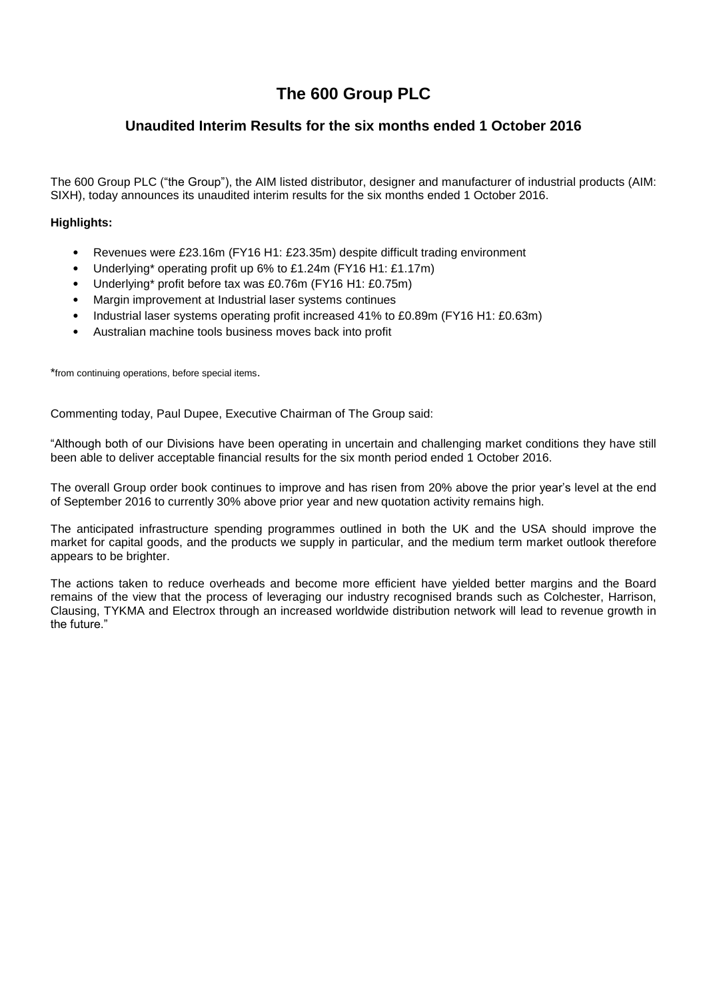# **The 600 Group PLC**

# **Unaudited Interim Results for the six months ended 1 October 2016**

The 600 Group PLC ("the Group"), the AIM listed distributor, designer and manufacturer of industrial products (AIM: SIXH), today announces its unaudited interim results for the six months ended 1 October 2016.

### **Highlights:**

- Revenues were £23.16m (FY16 H1: £23.35m) despite difficult trading environment
- Underlying\* operating profit up 6% to £1.24m (FY16 H1: £1.17m)
- Underlying\* profit before tax was £0.76m (FY16 H1: £0.75m)
- Margin improvement at Industrial laser systems continues
- Industrial laser systems operating profit increased 41% to £0.89m (FY16 H1: £0.63m)
- Australian machine tools business moves back into profit

\*from continuing operations, before special items.

Commenting today, Paul Dupee, Executive Chairman of The Group said:

―Although both of our Divisions have been operating in uncertain and challenging market conditions they have still been able to deliver acceptable financial results for the six month period ended 1 October 2016.

The overall Group order book continues to improve and has risen from 20% above the prior year's level at the end of September 2016 to currently 30% above prior year and new quotation activity remains high.

The anticipated infrastructure spending programmes outlined in both the UK and the USA should improve the market for capital goods, and the products we supply in particular, and the medium term market outlook therefore appears to be brighter.

The actions taken to reduce overheads and become more efficient have yielded better margins and the Board remains of the view that the process of leveraging our industry recognised brands such as Colchester, Harrison, Clausing, TYKMA and Electrox through an increased worldwide distribution network will lead to revenue growth in the future."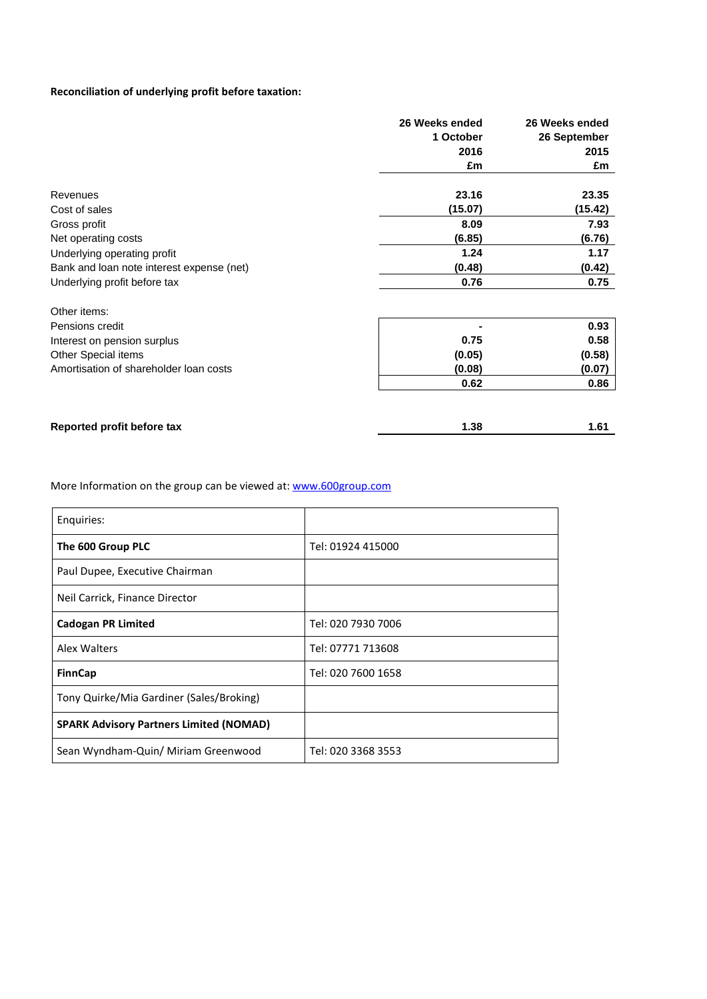## **Reconciliation of underlying profit before taxation:**

| 26 Weeks ended | 26 Weeks ended |
|----------------|----------------|
| 1 October      | 26 September   |
| 2016           | 2015           |
| £m             | £m             |
| 23.16          | 23.35          |
| (15.07)        | (15.42)        |
| 8.09           | 7.93           |
| (6.85)         | (6.76)         |
| 1.24           | 1.17           |
| (0.48)         | (0.42)         |
| 0.76           | 0.75           |
|                |                |
|                | 0.93           |
| 0.75           | 0.58           |
| (0.05)         | (0.58)         |
| (0.08)         | (0.07)         |
| 0.62           | 0.86           |
|                | 1.61           |
|                | 1.38           |

More Information on the group can be viewed at: [www.600group.com](http://www.600group.com/)

| Enquiries:                                     |                    |
|------------------------------------------------|--------------------|
| The 600 Group PLC                              | Tel: 01924 415000  |
| Paul Dupee, Executive Chairman                 |                    |
| Neil Carrick, Finance Director                 |                    |
| <b>Cadogan PR Limited</b>                      | Tel: 020 7930 7006 |
| Alex Walters                                   | Tel: 07771 713608  |
| <b>FinnCap</b>                                 | Tel: 020 7600 1658 |
| Tony Quirke/Mia Gardiner (Sales/Broking)       |                    |
| <b>SPARK Advisory Partners Limited (NOMAD)</b> |                    |
| Sean Wyndham-Quin/ Miriam Greenwood            | Tel: 020 3368 3553 |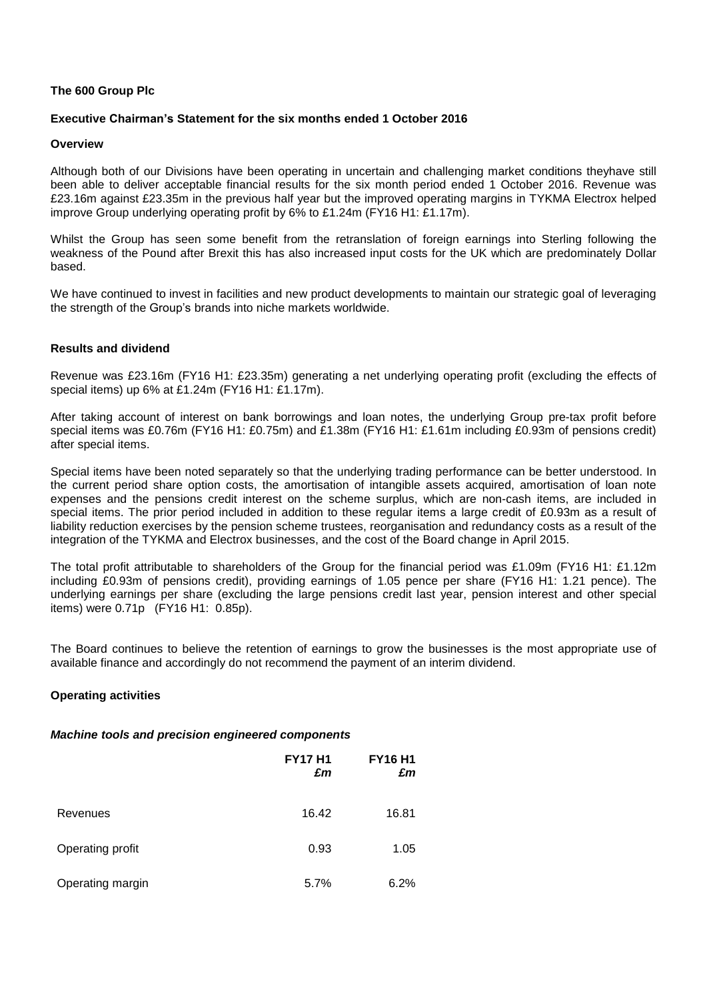### **The 600 Group Plc**

### **Executive Chairman's Statement for the six months ended 1 October 2016**

### **Overview**

Although both of our Divisions have been operating in uncertain and challenging market conditions theyhave still been able to deliver acceptable financial results for the six month period ended 1 October 2016. Revenue was £23.16m against £23.35m in the previous half year but the improved operating margins in TYKMA Electrox helped improve Group underlying operating profit by 6% to £1.24m (FY16 H1: £1.17m).

Whilst the Group has seen some benefit from the retranslation of foreign earnings into Sterling following the weakness of the Pound after Brexit this has also increased input costs for the UK which are predominately Dollar based.

We have continued to invest in facilities and new product developments to maintain our strategic goal of leveraging the strength of the Group's brands into niche markets worldwide.

### **Results and dividend**

Revenue was £23.16m (FY16 H1: £23.35m) generating a net underlying operating profit (excluding the effects of special items) up 6% at £1.24m (FY16 H1: £1.17m).

After taking account of interest on bank borrowings and loan notes, the underlying Group pre-tax profit before special items was £0.76m (FY16 H1: £0.75m) and £1.38m (FY16 H1: £1.61m including £0.93m of pensions credit) after special items.

Special items have been noted separately so that the underlying trading performance can be better understood. In the current period share option costs, the amortisation of intangible assets acquired, amortisation of loan note expenses and the pensions credit interest on the scheme surplus, which are non-cash items, are included in special items. The prior period included in addition to these regular items a large credit of £0.93m as a result of liability reduction exercises by the pension scheme trustees, reorganisation and redundancy costs as a result of the integration of the TYKMA and Electrox businesses, and the cost of the Board change in April 2015.

The total profit attributable to shareholders of the Group for the financial period was £1.09m (FY16 H1: £1.12m including £0.93m of pensions credit), providing earnings of 1.05 pence per share (FY16 H1: 1.21 pence). The underlying earnings per share (excluding the large pensions credit last year, pension interest and other special items) were 0.71p (FY16 H1: 0.85p).

The Board continues to believe the retention of earnings to grow the businesses is the most appropriate use of available finance and accordingly do not recommend the payment of an interim dividend.

## **Operating activities**

### *Machine tools and precision engineered components*

|                  | <b>FY17 H1</b><br>£m | <b>FY16 H1</b><br>£m |
|------------------|----------------------|----------------------|
| Revenues         | 16.42                | 16.81                |
| Operating profit | 0.93                 | 1.05                 |
| Operating margin | 5.7%                 | 6.2%                 |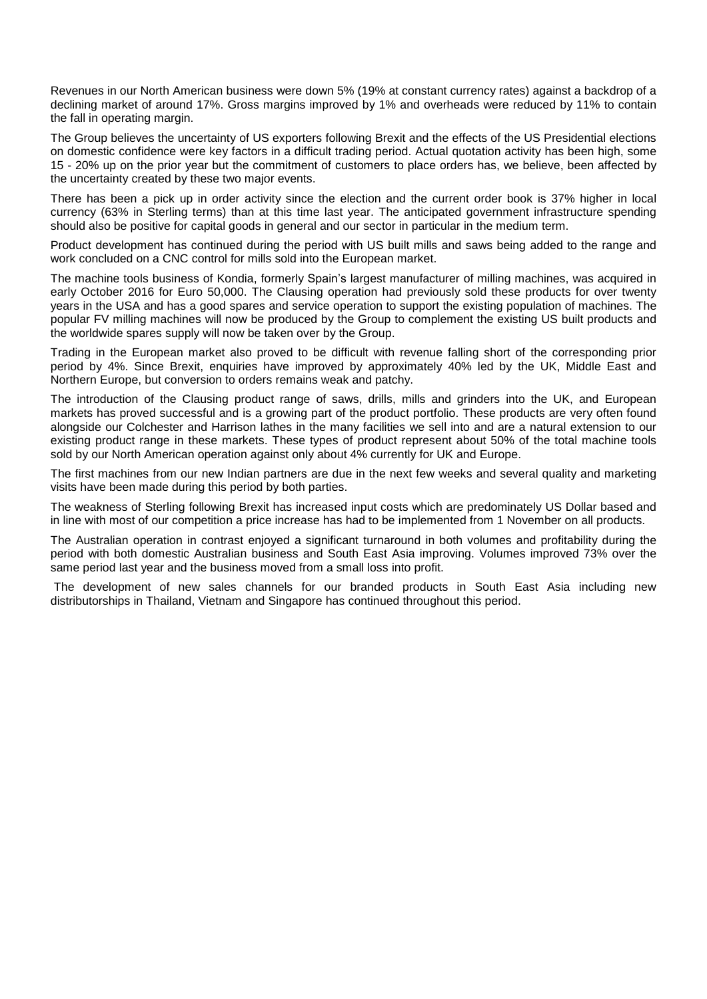Revenues in our North American business were down 5% (19% at constant currency rates) against a backdrop of a declining market of around 17%. Gross margins improved by 1% and overheads were reduced by 11% to contain the fall in operating margin.

The Group believes the uncertainty of US exporters following Brexit and the effects of the US Presidential elections on domestic confidence were key factors in a difficult trading period. Actual quotation activity has been high, some 15 - 20% up on the prior year but the commitment of customers to place orders has, we believe, been affected by the uncertainty created by these two major events.

There has been a pick up in order activity since the election and the current order book is 37% higher in local currency (63% in Sterling terms) than at this time last year. The anticipated government infrastructure spending should also be positive for capital goods in general and our sector in particular in the medium term.

Product development has continued during the period with US built mills and saws being added to the range and work concluded on a CNC control for mills sold into the European market.

The machine tools business of Kondia, formerly Spain's largest manufacturer of milling machines, was acquired in early October 2016 for Euro 50,000. The Clausing operation had previously sold these products for over twenty years in the USA and has a good spares and service operation to support the existing population of machines. The popular FV milling machines will now be produced by the Group to complement the existing US built products and the worldwide spares supply will now be taken over by the Group.

Trading in the European market also proved to be difficult with revenue falling short of the corresponding prior period by 4%. Since Brexit, enquiries have improved by approximately 40% led by the UK, Middle East and Northern Europe, but conversion to orders remains weak and patchy.

The introduction of the Clausing product range of saws, drills, mills and grinders into the UK, and European markets has proved successful and is a growing part of the product portfolio. These products are very often found alongside our Colchester and Harrison lathes in the many facilities we sell into and are a natural extension to our existing product range in these markets. These types of product represent about 50% of the total machine tools sold by our North American operation against only about 4% currently for UK and Europe.

The first machines from our new Indian partners are due in the next few weeks and several quality and marketing visits have been made during this period by both parties.

The weakness of Sterling following Brexit has increased input costs which are predominately US Dollar based and in line with most of our competition a price increase has had to be implemented from 1 November on all products.

The Australian operation in contrast enjoyed a significant turnaround in both volumes and profitability during the period with both domestic Australian business and South East Asia improving. Volumes improved 73% over the same period last year and the business moved from a small loss into profit.

The development of new sales channels for our branded products in South East Asia including new distributorships in Thailand, Vietnam and Singapore has continued throughout this period.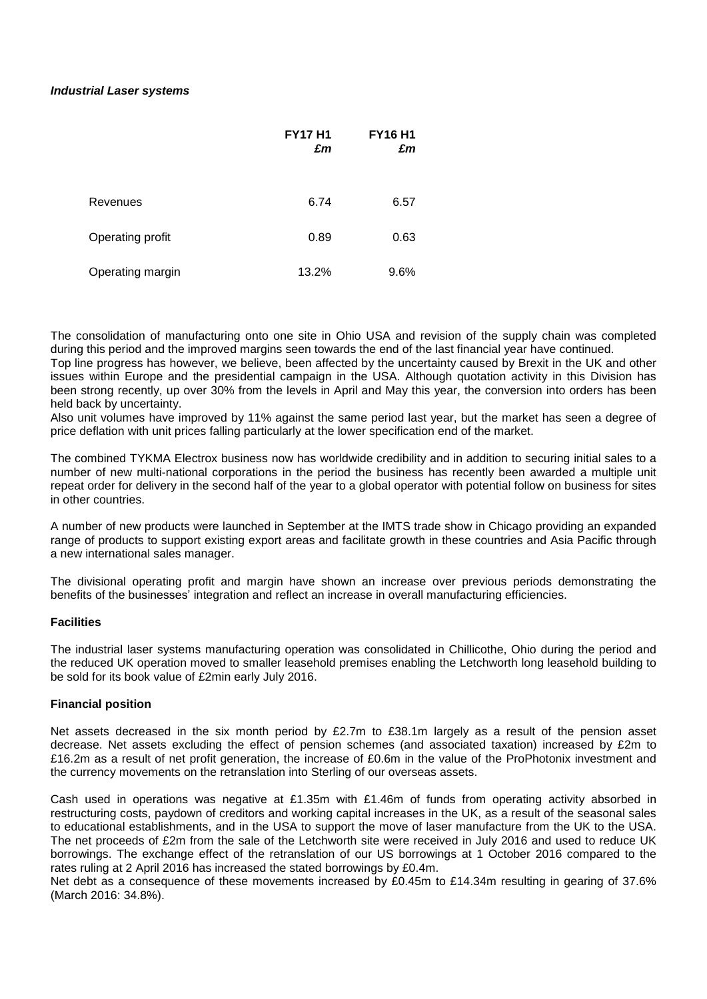### *Industrial Laser systems*

|                  | <b>FY17 H1</b><br>£m | <b>FY16 H1</b><br>£m |
|------------------|----------------------|----------------------|
| Revenues         | 6.74                 | 6.57                 |
| Operating profit | 0.89                 | 0.63                 |
| Operating margin | 13.2%                | 9.6%                 |

The consolidation of manufacturing onto one site in Ohio USA and revision of the supply chain was completed during this period and the improved margins seen towards the end of the last financial year have continued.

Top line progress has however, we believe, been affected by the uncertainty caused by Brexit in the UK and other issues within Europe and the presidential campaign in the USA. Although quotation activity in this Division has been strong recently, up over 30% from the levels in April and May this year, the conversion into orders has been held back by uncertainty.

Also unit volumes have improved by 11% against the same period last year, but the market has seen a degree of price deflation with unit prices falling particularly at the lower specification end of the market.

The combined TYKMA Electrox business now has worldwide credibility and in addition to securing initial sales to a number of new multi-national corporations in the period the business has recently been awarded a multiple unit repeat order for delivery in the second half of the year to a global operator with potential follow on business for sites in other countries.

A number of new products were launched in September at the IMTS trade show in Chicago providing an expanded range of products to support existing export areas and facilitate growth in these countries and Asia Pacific through a new international sales manager.

The divisional operating profit and margin have shown an increase over previous periods demonstrating the benefits of the businesses' integration and reflect an increase in overall manufacturing efficiencies.

### **Facilities**

The industrial laser systems manufacturing operation was consolidated in Chillicothe, Ohio during the period and the reduced UK operation moved to smaller leasehold premises enabling the Letchworth long leasehold building to be sold for its book value of £2min early July 2016.

### **Financial position**

Net assets decreased in the six month period by £2.7m to £38.1m largely as a result of the pension asset decrease. Net assets excluding the effect of pension schemes (and associated taxation) increased by £2m to £16.2m as a result of net profit generation, the increase of £0.6m in the value of the ProPhotonix investment and the currency movements on the retranslation into Sterling of our overseas assets.

Cash used in operations was negative at £1.35m with £1.46m of funds from operating activity absorbed in restructuring costs, paydown of creditors and working capital increases in the UK, as a result of the seasonal sales to educational establishments, and in the USA to support the move of laser manufacture from the UK to the USA. The net proceeds of £2m from the sale of the Letchworth site were received in July 2016 and used to reduce UK borrowings. The exchange effect of the retranslation of our US borrowings at 1 October 2016 compared to the rates ruling at 2 April 2016 has increased the stated borrowings by £0.4m.

Net debt as a consequence of these movements increased by £0.45m to £14.34m resulting in gearing of 37.6% (March 2016: 34.8%).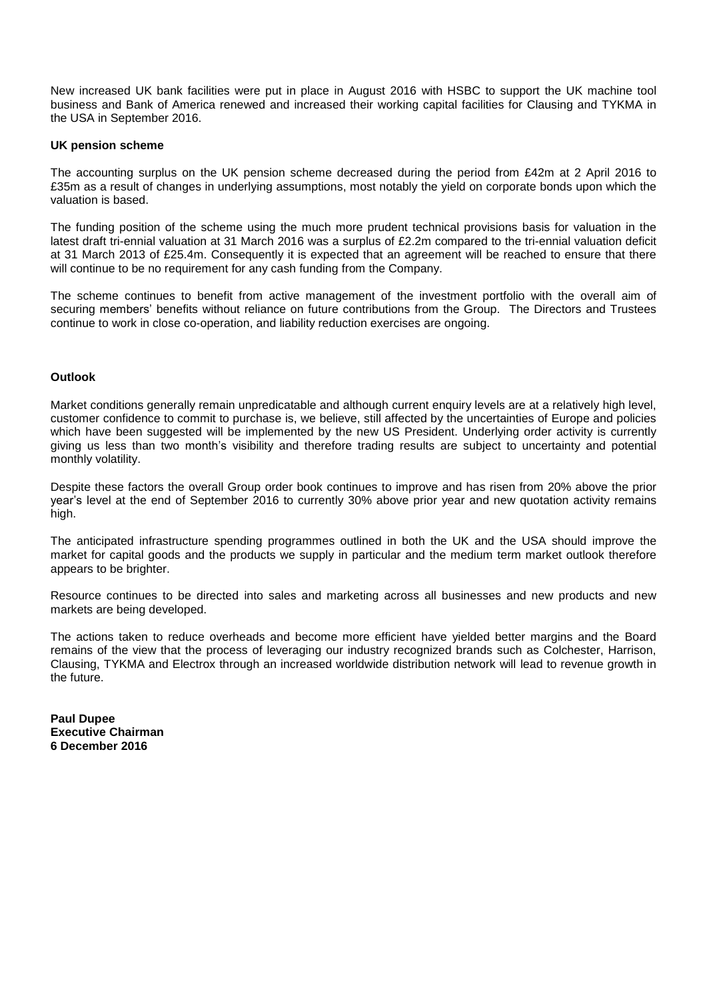New increased UK bank facilities were put in place in August 2016 with HSBC to support the UK machine tool business and Bank of America renewed and increased their working capital facilities for Clausing and TYKMA in the USA in September 2016.

### **UK pension scheme**

The accounting surplus on the UK pension scheme decreased during the period from £42m at 2 April 2016 to £35m as a result of changes in underlying assumptions, most notably the yield on corporate bonds upon which the valuation is based.

The funding position of the scheme using the much more prudent technical provisions basis for valuation in the latest draft tri-ennial valuation at 31 March 2016 was a surplus of £2.2m compared to the tri-ennial valuation deficit at 31 March 2013 of £25.4m. Consequently it is expected that an agreement will be reached to ensure that there will continue to be no requirement for any cash funding from the Company.

The scheme continues to benefit from active management of the investment portfolio with the overall aim of securing members' benefits without reliance on future contributions from the Group. The Directors and Trustees continue to work in close co-operation, and liability reduction exercises are ongoing.

### **Outlook**

Market conditions generally remain unpredicatable and although current enquiry levels are at a relatively high level, customer confidence to commit to purchase is, we believe, still affected by the uncertainties of Europe and policies which have been suggested will be implemented by the new US President. Underlying order activity is currently giving us less than two month's visibility and therefore trading results are subject to uncertainty and potential monthly volatility.

Despite these factors the overall Group order book continues to improve and has risen from 20% above the prior year's level at the end of September 2016 to currently 30% above prior year and new quotation activity remains high.

The anticipated infrastructure spending programmes outlined in both the UK and the USA should improve the market for capital goods and the products we supply in particular and the medium term market outlook therefore appears to be brighter.

Resource continues to be directed into sales and marketing across all businesses and new products and new markets are being developed.

The actions taken to reduce overheads and become more efficient have yielded better margins and the Board remains of the view that the process of leveraging our industry recognized brands such as Colchester, Harrison, Clausing, TYKMA and Electrox through an increased worldwide distribution network will lead to revenue growth in the future.

**Paul Dupee Executive Chairman 6 December 2016**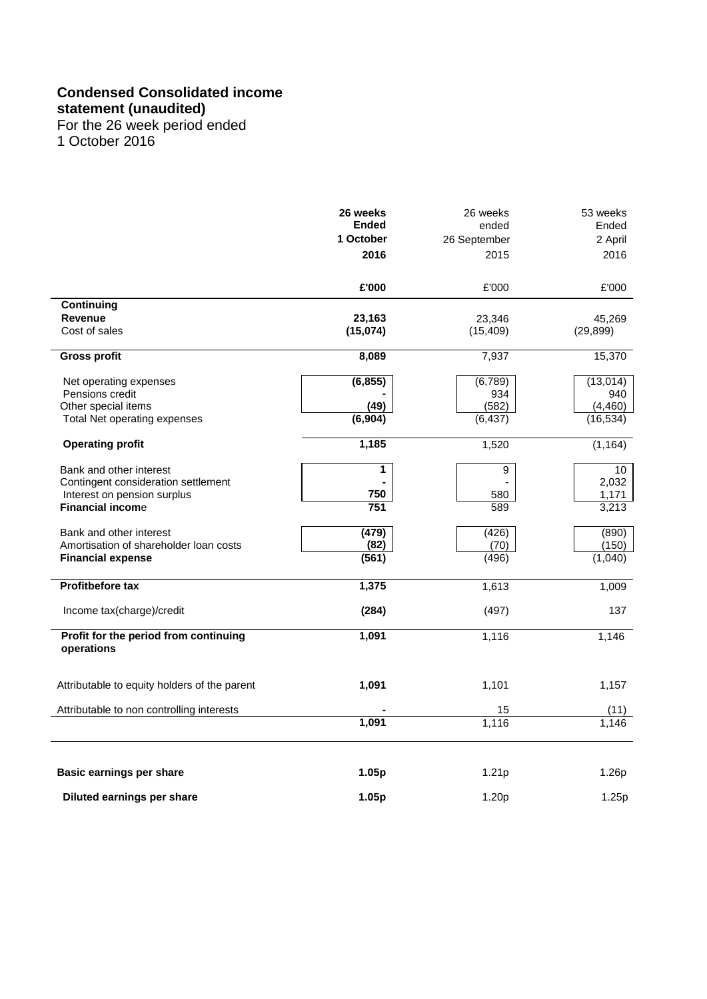# **Condensed Consolidated income**

## **statement (unaudited)**

For the 26 week period ended 1 October 2016

|                                                                                                                          | 26 weeks<br><b>Ended</b><br>1 October<br>2016 | 26 weeks<br>ended<br>26 September<br>2015 | 53 weeks<br>Ended<br>2 April<br>2016      |
|--------------------------------------------------------------------------------------------------------------------------|-----------------------------------------------|-------------------------------------------|-------------------------------------------|
|                                                                                                                          | £'000                                         | £'000                                     | £'000                                     |
| Continuing<br><b>Revenue</b><br>Cost of sales                                                                            | 23,163<br>(15,074)                            | 23,346<br>(15, 409)                       | 45,269<br>(29, 899)                       |
| <b>Gross profit</b>                                                                                                      | 8,089                                         | 7,937                                     | 15,370                                    |
| Net operating expenses<br>Pensions credit<br>Other special items<br>Total Net operating expenses                         | (6, 855)<br>(49)<br>(6,904)                   | (6,789)<br>934<br>(582)<br>(6, 437)       | (13, 014)<br>940<br>(4, 460)<br>(16, 534) |
| <b>Operating profit</b>                                                                                                  | 1,185                                         | 1,520                                     | (1, 164)                                  |
| Bank and other interest<br>Contingent consideration settlement<br>Interest on pension surplus<br><b>Financial income</b> | 1<br>750<br>751                               | $\boldsymbol{9}$<br>580<br>589            | 10<br>2,032<br>1,171<br>3,213             |
| Bank and other interest<br>Amortisation of shareholder loan costs<br><b>Financial expense</b>                            | (479)<br>(82)<br>(561)                        | (426)<br>(70)<br>(496)                    | (890)<br>(150)<br>(1,040)                 |
| <b>Profitbefore tax</b>                                                                                                  | 1,375                                         | 1,613                                     | 1,009                                     |
| Income tax(charge)/credit                                                                                                | (284)                                         | (497)                                     | 137                                       |
| Profit for the period from continuing<br>operations                                                                      | 1,091                                         | 1,116                                     | 1,146                                     |
| Attributable to equity holders of the parent                                                                             | 1,091                                         | 1,101                                     | 1,157                                     |
| Attributable to non controlling interests                                                                                |                                               | 15                                        | (11)                                      |
|                                                                                                                          | 1,091                                         | 1,116                                     | 1,146                                     |
| Basic earnings per share                                                                                                 | 1.05p                                         | 1.21 <sub>p</sub>                         | 1.26p                                     |
| Diluted earnings per share                                                                                               | 1.05p                                         | 1.20p                                     | 1.25p                                     |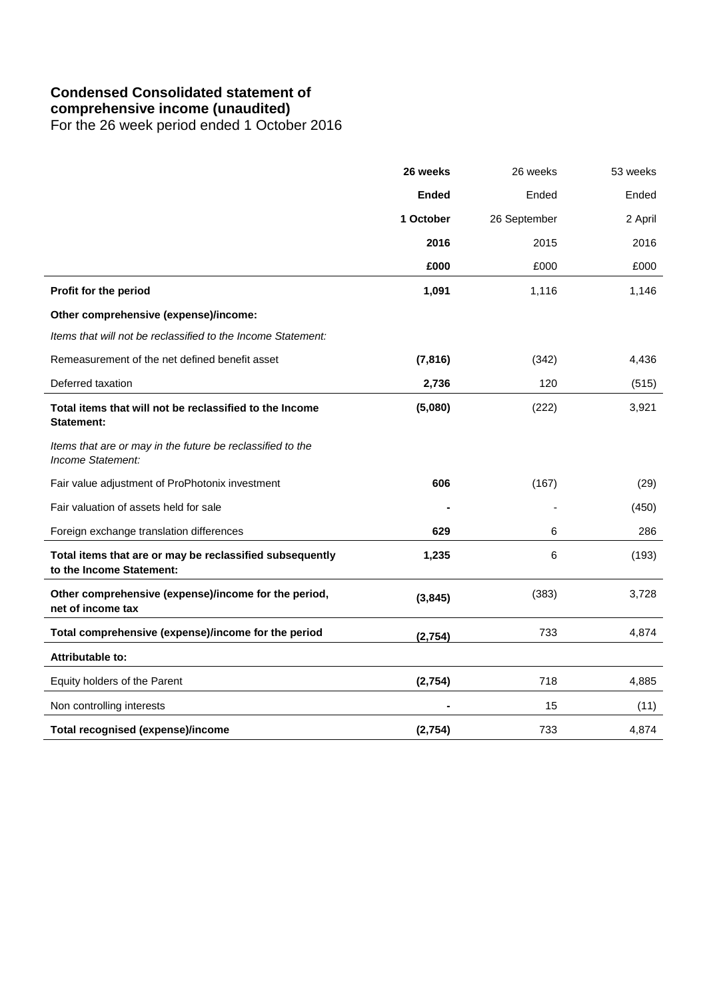# **Condensed Consolidated statement of**

**comprehensive income (unaudited)**

For the 26 week period ended 1 October 2016

|                                                                                      | 26 weeks     | 26 weeks     | 53 weeks |
|--------------------------------------------------------------------------------------|--------------|--------------|----------|
|                                                                                      | <b>Ended</b> | Ended        | Ended    |
|                                                                                      | 1 October    | 26 September | 2 April  |
|                                                                                      | 2016         | 2015         | 2016     |
|                                                                                      | £000         | £000         | £000     |
| Profit for the period                                                                | 1,091        | 1,116        | 1,146    |
| Other comprehensive (expense)/income:                                                |              |              |          |
| Items that will not be reclassified to the Income Statement:                         |              |              |          |
| Remeasurement of the net defined benefit asset                                       | (7, 816)     | (342)        | 4,436    |
| Deferred taxation                                                                    | 2,736        | 120          | (515)    |
| Total items that will not be reclassified to the Income<br><b>Statement:</b>         | (5,080)      | (222)        | 3,921    |
| Items that are or may in the future be reclassified to the<br>Income Statement:      |              |              |          |
| Fair value adjustment of ProPhotonix investment                                      | 606          | (167)        | (29)     |
| Fair valuation of assets held for sale                                               |              |              | (450)    |
| Foreign exchange translation differences                                             | 629          | 6            | 286      |
| Total items that are or may be reclassified subsequently<br>to the Income Statement: | 1,235        | 6            | (193)    |
| Other comprehensive (expense)/income for the period,<br>net of income tax            | (3, 845)     | (383)        | 3,728    |
| Total comprehensive (expense)/income for the period                                  | (2,754)      | 733          | 4,874    |
| Attributable to:                                                                     |              |              |          |
| Equity holders of the Parent                                                         | (2,754)      | 718          | 4,885    |
| Non controlling interests                                                            |              | 15           | (11)     |
| <b>Total recognised (expense)/income</b>                                             | (2,754)      | 733          | 4,874    |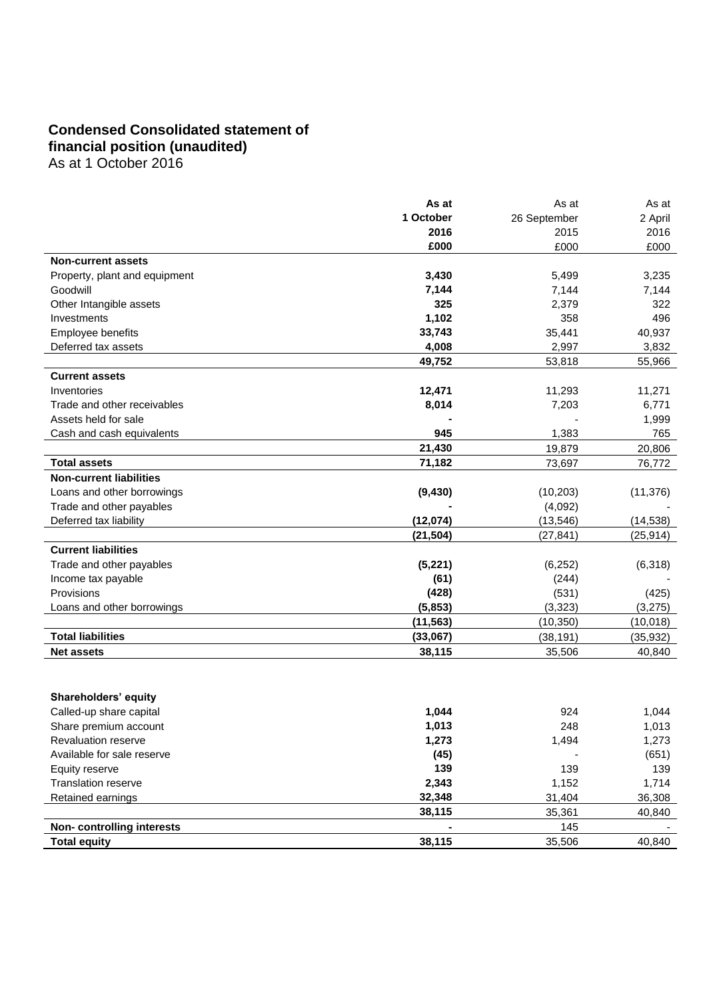# **Condensed Consolidated statement of financial position (unaudited)**

As at 1 October 2016

|                                | As at     | As at        | As at     |
|--------------------------------|-----------|--------------|-----------|
|                                | 1 October | 26 September | 2 April   |
|                                | 2016      | 2015         | 2016      |
|                                | £000      | £000         | £000      |
| <b>Non-current assets</b>      |           |              |           |
| Property, plant and equipment  | 3,430     | 5,499        | 3,235     |
| Goodwill                       | 7,144     | 7,144        | 7,144     |
| Other Intangible assets        | 325       | 2,379        | 322       |
| Investments                    | 1,102     | 358          | 496       |
| Employee benefits              | 33,743    | 35,441       | 40,937    |
| Deferred tax assets            | 4,008     | 2,997        | 3,832     |
|                                | 49,752    | 53,818       | 55,966    |
| <b>Current assets</b>          |           |              |           |
| Inventories                    | 12,471    | 11,293       | 11,271    |
| Trade and other receivables    | 8,014     | 7,203        | 6,771     |
| Assets held for sale           |           |              | 1,999     |
| Cash and cash equivalents      | 945       | 1,383        | 765       |
|                                | 21,430    | 19,879       | 20,806    |
| <b>Total assets</b>            | 71,182    | 73,697       | 76,772    |
| <b>Non-current liabilities</b> |           |              |           |
| Loans and other borrowings     | (9, 430)  | (10, 203)    | (11, 376) |
| Trade and other payables       |           | (4,092)      |           |
| Deferred tax liability         | (12,074)  | (13, 546)    | (14, 538) |
|                                | (21, 504) | (27, 841)    | (25, 914) |
| <b>Current liabilities</b>     |           |              |           |
| Trade and other payables       | (5,221)   | (6, 252)     | (6,318)   |
| Income tax payable             | (61)      | (244)        |           |
| Provisions                     | (428)     | (531)        | (425)     |
| Loans and other borrowings     | (5,853)   | (3, 323)     | (3,275)   |
|                                | (11, 563) | (10, 350)    | (10, 018) |
| <b>Total liabilities</b>       | (33,067)  | (38, 191)    | (35, 932) |
| <b>Net assets</b>              | 38,115    | 35,506       | 40,840    |
|                                |           |              |           |
|                                |           |              |           |
| Shareholders' equity           |           |              |           |
|                                |           |              |           |

| Called-up share capital    | 1,044  | 924    | 1,044  |
|----------------------------|--------|--------|--------|
| Share premium account      | 1,013  | 248    | 1,013  |
| <b>Revaluation reserve</b> | 1,273  | 1,494  | 1,273  |
| Available for sale reserve | (45)   |        | (651)  |
| Equity reserve             | 139    | 139    | 139    |
| <b>Translation reserve</b> | 2,343  | 1,152  | 1,714  |
| Retained earnings          | 32,348 | 31,404 | 36,308 |
|                            | 38,115 | 35,361 | 40,840 |
| Non-controlling interests  |        | 145    |        |
| <b>Total equity</b>        | 38,115 | 35.506 | 40.840 |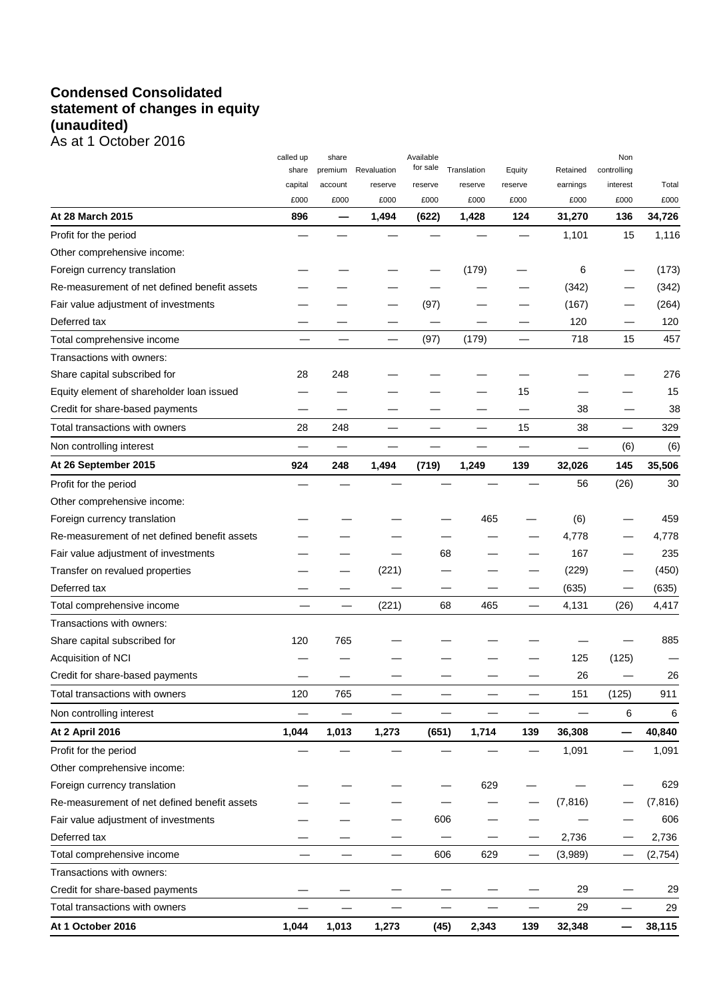# **Condensed Consolidated statement of changes in equity (unaudited)** As at 1 October 2016

|                                              | called up                | share              |                          | Available<br>for sale |                        |                          | Retained                 | Non                      |          |
|----------------------------------------------|--------------------------|--------------------|--------------------------|-----------------------|------------------------|--------------------------|--------------------------|--------------------------|----------|
|                                              | share<br>capital         | premium<br>account | Revaluation<br>reserve   | reserve               | Translation<br>reserve | Equity<br>reserve        | earnings                 | controlling<br>interest  | Total    |
|                                              | £000                     | £000               | £000                     | £000                  | £000                   | £000                     | £000                     | £000                     | £000     |
| At 28 March 2015                             | 896                      | -                  | 1,494                    | (622)                 | 1,428                  | 124                      | 31,270                   | 136                      | 34,726   |
| Profit for the period                        |                          |                    |                          |                       |                        |                          | 1,101                    | 15                       | 1,116    |
| Other comprehensive income:                  |                          |                    |                          |                       |                        |                          |                          |                          |          |
| Foreign currency translation                 |                          |                    |                          |                       | (179)                  |                          | 6                        |                          | (173)    |
| Re-measurement of net defined benefit assets |                          |                    |                          |                       |                        |                          | (342)                    |                          | (342)    |
| Fair value adjustment of investments         |                          |                    |                          | (97)                  |                        |                          | (167)                    |                          | (264)    |
| Deferred tax                                 |                          |                    |                          |                       |                        |                          | 120                      |                          | 120      |
| Total comprehensive income                   |                          |                    |                          | (97)                  | (179)                  |                          | 718                      | 15                       | 457      |
| Transactions with owners:                    |                          |                    |                          |                       |                        |                          |                          |                          |          |
| Share capital subscribed for                 | 28                       | 248                |                          |                       |                        |                          |                          |                          | 276      |
| Equity element of shareholder loan issued    |                          |                    |                          |                       |                        | 15                       |                          |                          | 15       |
| Credit for share-based payments              |                          |                    |                          |                       |                        |                          | 38                       |                          | 38       |
| Total transactions with owners               | 28                       | 248                |                          |                       |                        | 15                       | 38                       | $\overline{\phantom{0}}$ | 329      |
| Non controlling interest                     |                          |                    |                          |                       |                        |                          | $\overline{\phantom{0}}$ | (6)                      | (6)      |
| At 26 September 2015                         | 924                      | 248                | 1,494                    | (719)                 | 1,249                  | 139                      | 32,026                   | 145                      | 35,506   |
| Profit for the period                        |                          |                    |                          |                       |                        |                          | 56                       | (26)                     | 30       |
| Other comprehensive income:                  |                          |                    |                          |                       |                        |                          |                          |                          |          |
| Foreign currency translation                 |                          |                    |                          |                       | 465                    |                          | (6)                      |                          | 459      |
| Re-measurement of net defined benefit assets |                          |                    |                          |                       |                        |                          | 4,778                    |                          | 4,778    |
| Fair value adjustment of investments         |                          |                    |                          |                       | 68                     |                          | 167                      |                          | 235      |
| Transfer on revalued properties              |                          |                    | (221)                    |                       |                        |                          | (229)                    |                          | (450)    |
| Deferred tax                                 |                          |                    |                          |                       |                        |                          | (635)                    |                          | (635)    |
| Total comprehensive income                   |                          |                    | (221)                    |                       | 465<br>68              | —                        | 4,131                    | (26)                     | 4,417    |
| Transactions with owners:                    |                          |                    |                          |                       |                        |                          |                          |                          |          |
| Share capital subscribed for                 | 120                      | 765                |                          |                       |                        |                          |                          |                          | 885      |
| Acquisition of NCI                           |                          |                    |                          |                       |                        |                          | 125                      | (125)                    |          |
| Credit for share-based payments              |                          |                    |                          |                       |                        |                          | 26                       |                          | 26       |
| Total transactions with owners               | 120                      | 765                |                          |                       |                        | $\overline{\phantom{0}}$ | 151                      | (125)                    | 911      |
| Non controlling interest                     | $\overline{\phantom{0}}$ | —                  | $\overline{\phantom{0}}$ |                       |                        | —<br>—                   | —                        | 6                        | 6        |
| At 2 April 2016                              | 1,044                    | 1,013              | 1,273                    | (651)                 | 1,714                  | 139                      | 36,308                   | —                        | 40,840   |
| Profit for the period                        |                          |                    |                          |                       |                        |                          | 1,091                    |                          | 1,091    |
| Other comprehensive income:                  |                          |                    |                          |                       |                        |                          |                          |                          |          |
| Foreign currency translation                 |                          |                    |                          |                       | 629                    |                          |                          |                          | 629      |
| Re-measurement of net defined benefit assets |                          |                    |                          |                       |                        |                          | (7, 816)                 |                          | (7, 816) |
| Fair value adjustment of investments         |                          |                    |                          | 606                   |                        |                          |                          |                          | 606      |
| Deferred tax                                 |                          |                    |                          |                       |                        |                          | 2,736                    |                          | 2,736    |
| Total comprehensive income                   |                          |                    | $\overline{\phantom{0}}$ | 606                   | 629                    | —                        | (3,989)                  | —                        | (2,754)  |
| Transactions with owners:                    |                          |                    |                          |                       |                        |                          |                          |                          |          |
| Credit for share-based payments              |                          |                    |                          |                       |                        |                          | 29                       |                          | 29       |
| Total transactions with owners               |                          |                    | $\overline{\phantom{0}}$ |                       |                        | $\overline{\phantom{0}}$ | 29                       |                          | 29       |
| At 1 October 2016                            | 1,044                    | 1,013              | 1,273                    | (45)                  | 2,343                  | 139                      | 32,348                   | —                        | 38,115   |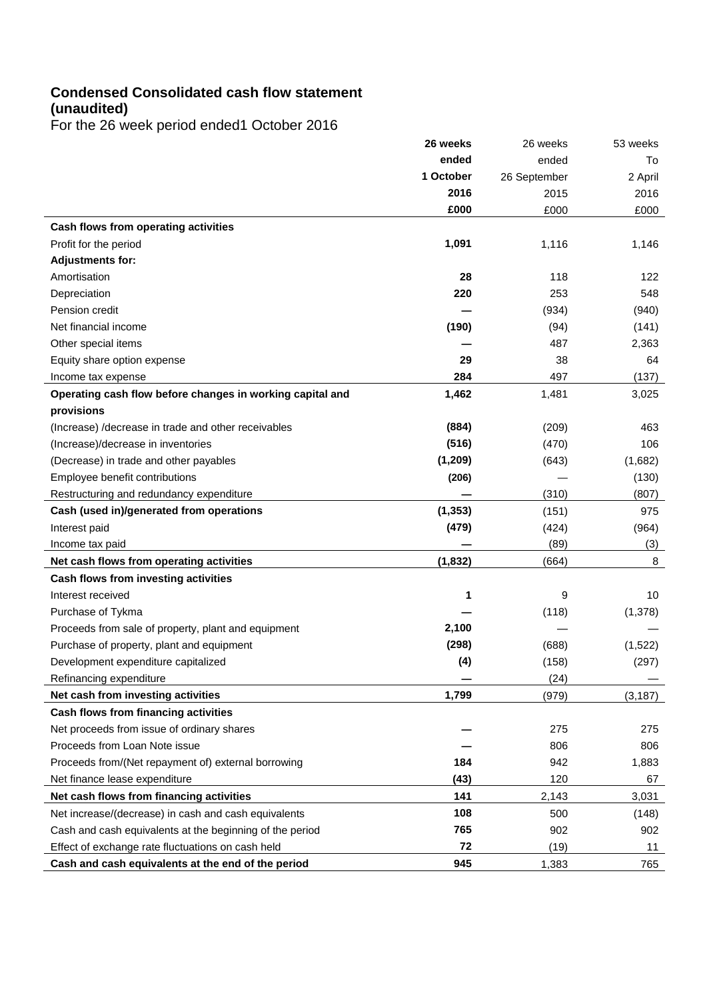# **Condensed Consolidated cash flow statement (unaudited)**

For the 26 week period ended1 October 2016

|                                                           | 26 weeks  | 26 weeks     | 53 weeks |
|-----------------------------------------------------------|-----------|--------------|----------|
|                                                           | ended     | ended        | To       |
|                                                           | 1 October | 26 September | 2 April  |
|                                                           | 2016      | 2015         | 2016     |
|                                                           | £000      | £000         | £000     |
| Cash flows from operating activities                      |           |              |          |
| Profit for the period                                     | 1,091     | 1,116        | 1,146    |
| <b>Adjustments for:</b>                                   |           |              |          |
| Amortisation                                              | 28        | 118          | 122      |
| Depreciation                                              | 220       | 253          | 548      |
| Pension credit                                            |           | (934)        | (940)    |
| Net financial income                                      | (190)     | (94)         | (141)    |
| Other special items                                       |           | 487          | 2,363    |
| Equity share option expense                               | 29        | 38           | 64       |
| Income tax expense                                        | 284       | 497          | (137)    |
| Operating cash flow before changes in working capital and | 1,462     | 1,481        | 3,025    |
| provisions                                                |           |              |          |
| (Increase) / decrease in trade and other receivables      | (884)     | (209)        | 463      |
| (Increase)/decrease in inventories                        | (516)     | (470)        | 106      |
| (Decrease) in trade and other payables                    | (1, 209)  | (643)        | (1,682)  |
| Employee benefit contributions                            | (206)     |              | (130)    |
| Restructuring and redundancy expenditure                  |           | (310)        | (807)    |
| Cash (used in)/generated from operations                  | (1, 353)  | (151)        | 975      |
| Interest paid                                             | (479)     | (424)        | (964)    |
| Income tax paid                                           |           | (89)         | (3)      |
| Net cash flows from operating activities                  | (1, 832)  | (664)        | 8        |
| Cash flows from investing activities                      |           |              |          |
| Interest received                                         | 1         | 9            | 10       |
| Purchase of Tykma                                         |           | (118)        | (1,378)  |
| Proceeds from sale of property, plant and equipment       | 2,100     |              |          |
| Purchase of property, plant and equipment                 | (298)     | (688)        | (1,522)  |
| Development expenditure capitalized                       | (4)       | (158)        | (297)    |
| Refinancing expenditure                                   |           | (24)         |          |
| Net cash from investing activities                        | 1,799     | (979)        | (3, 187) |
| Cash flows from financing activities                      |           |              |          |
| Net proceeds from issue of ordinary shares                |           | 275          | 275      |
| Proceeds from Loan Note issue                             |           | 806          | 806      |
| Proceeds from/(Net repayment of) external borrowing       | 184       | 942          | 1,883    |
| Net finance lease expenditure                             | (43)      | 120          | 67       |
| Net cash flows from financing activities                  | 141       | 2,143        | 3,031    |
| Net increase/(decrease) in cash and cash equivalents      | 108       | 500          | (148)    |
| Cash and cash equivalents at the beginning of the period  | 765       | 902          | 902      |
| Effect of exchange rate fluctuations on cash held         | 72        | (19)         | 11       |
| Cash and cash equivalents at the end of the period        | 945       | 1,383        | 765      |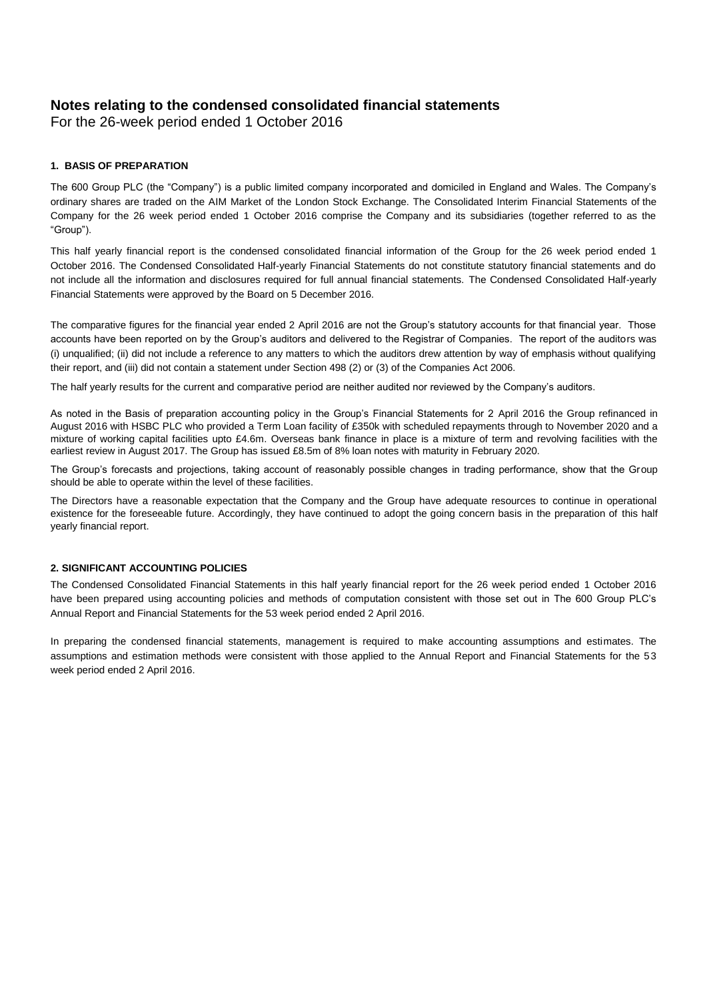## **Notes relating to the condensed consolidated financial statements**

For the 26-week period ended 1 October 2016

### **1. BASIS OF PREPARATION**

The 600 Group PLC (the "Company") is a public limited company incorporated and domiciled in England and Wales. The Company's ordinary shares are traded on the AIM Market of the London Stock Exchange. The Consolidated Interim Financial Statements of the Company for the 26 week period ended 1 October 2016 comprise the Company and its subsidiaries (together referred to as the ―Group‖).

This half yearly financial report is the condensed consolidated financial information of the Group for the 26 week period ended 1 October 2016. The Condensed Consolidated Half-yearly Financial Statements do not constitute statutory financial statements and do not include all the information and disclosures required for full annual financial statements. The Condensed Consolidated Half-yearly Financial Statements were approved by the Board on 5 December 2016.

The comparative figures for the financial year ended 2 April 2016 are not the Group's statutory accounts for that financial year. Those accounts have been reported on by the Group's auditors and delivered to the Registrar of Companies. The report of the auditors was (i) unqualified; (ii) did not include a reference to any matters to which the auditors drew attention by way of emphasis without qualifying their report, and (iii) did not contain a statement under Section 498 (2) or (3) of the Companies Act 2006.

The half yearly results for the current and comparative period are neither audited nor reviewed by the Company's auditors.

As noted in the Basis of preparation accounting policy in the Group's Financial Statements for 2 April 2016 the Group refinanced in August 2016 with HSBC PLC who provided a Term Loan facility of £350k with scheduled repayments through to November 2020 and a mixture of working capital facilities upto £4.6m. Overseas bank finance in place is a mixture of term and revolving facilities with the earliest review in August 2017. The Group has issued £8.5m of 8% loan notes with maturity in February 2020.

The Group's forecasts and projections, taking account of reasonably possible changes in trading performance, show that the Group should be able to operate within the level of these facilities.

The Directors have a reasonable expectation that the Company and the Group have adequate resources to continue in operational existence for the foreseeable future. Accordingly, they have continued to adopt the going concern basis in the preparation of this half yearly financial report.

### **2. SIGNIFICANT ACCOUNTING POLICIES**

The Condensed Consolidated Financial Statements in this half yearly financial report for the 26 week period ended 1 October 2016 have been prepared using accounting policies and methods of computation consistent with those set out in The 600 Group PLC's Annual Report and Financial Statements for the 53 week period ended 2 April 2016.

In preparing the condensed financial statements, management is required to make accounting assumptions and estimates. The assumptions and estimation methods were consistent with those applied to the Annual Report and Financial Statements for the 53 week period ended 2 April 2016.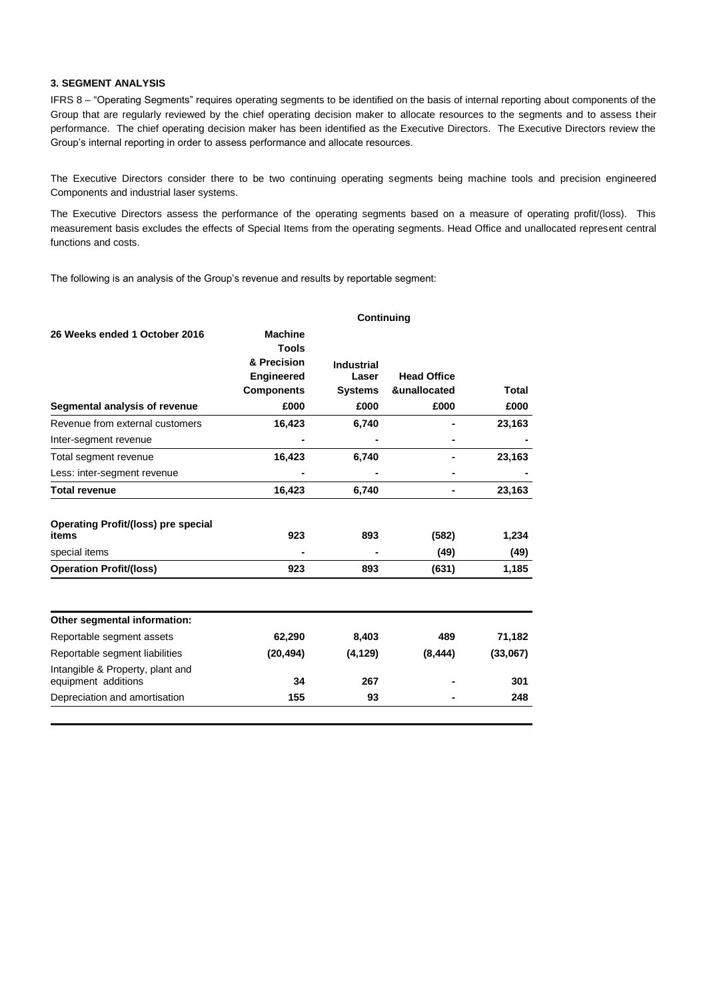#### **3. SEGMENT ANALYSIS**

IFRS 8 - "Operating Segments" requires operating segments to be identified on the basis of internal reporting about components of the Group that are regularly reviewed by the chief operating decision maker to allocate resources to the segments and to assess their performance. The chief operating decision maker has been identified as the Executive Directors. The Executive Directors review the Group's internal reporting in order to assess performance and allocate resources.

The Executive Directors consider there to be two continuing operating segments being machine tools and precision engineered Components and industrial laser systems.

The Executive Directors assess the performance of the operating segments based on a measure of operating profit/(loss). This measurement basis excludes the effects of Special Items from the operating segments. Head Office and unallocated represent central functions and costs.

The following is an analysis of the Group's revenue and results by reportable segment:

|                                                                                           | <b>Continuing</b>                      |                   |                    |          |  |  |
|-------------------------------------------------------------------------------------------|----------------------------------------|-------------------|--------------------|----------|--|--|
| 26 Weeks ended 1 October 2016                                                             | <b>Machine</b><br>Tools<br>& Precision | <b>Industrial</b> |                    |          |  |  |
|                                                                                           | <b>Engineered</b>                      | Laser             | <b>Head Office</b> |          |  |  |
|                                                                                           | <b>Components</b>                      | <b>Systems</b>    | &unallocated       | Total    |  |  |
| Segmental analysis of revenue                                                             | £000                                   | £000              | £000               | £000     |  |  |
| Revenue from external customers                                                           | 16,423                                 | 6,740             |                    | 23,163   |  |  |
| Inter-segment revenue                                                                     |                                        |                   |                    |          |  |  |
| Total segment revenue                                                                     | 16,423                                 | 6,740             |                    | 23,163   |  |  |
| Less: inter-segment revenue                                                               |                                        |                   |                    |          |  |  |
| <b>Total revenue</b>                                                                      | 16,423                                 | 6,740             |                    | 23,163   |  |  |
| <b>Operating Profit/(loss) pre special</b><br>items                                       | 923                                    | 893               | (582)              | 1,234    |  |  |
| special items                                                                             |                                        |                   | (49)               | (49)     |  |  |
| <b>Operation Profit/(loss)</b>                                                            | 923                                    | 893               | (631)              | 1,185    |  |  |
| Other segmental information:                                                              |                                        |                   |                    |          |  |  |
| Reportable segment assets                                                                 | 62,290                                 | 8,403             | 489                | 71,182   |  |  |
|                                                                                           |                                        |                   |                    |          |  |  |
|                                                                                           | (20, 494)                              | (4, 129)          | (8, 444)           | (33,067) |  |  |
| Reportable segment liabilities<br>Intangible & Property, plant and<br>equipment additions | 34                                     | 267               |                    | 301      |  |  |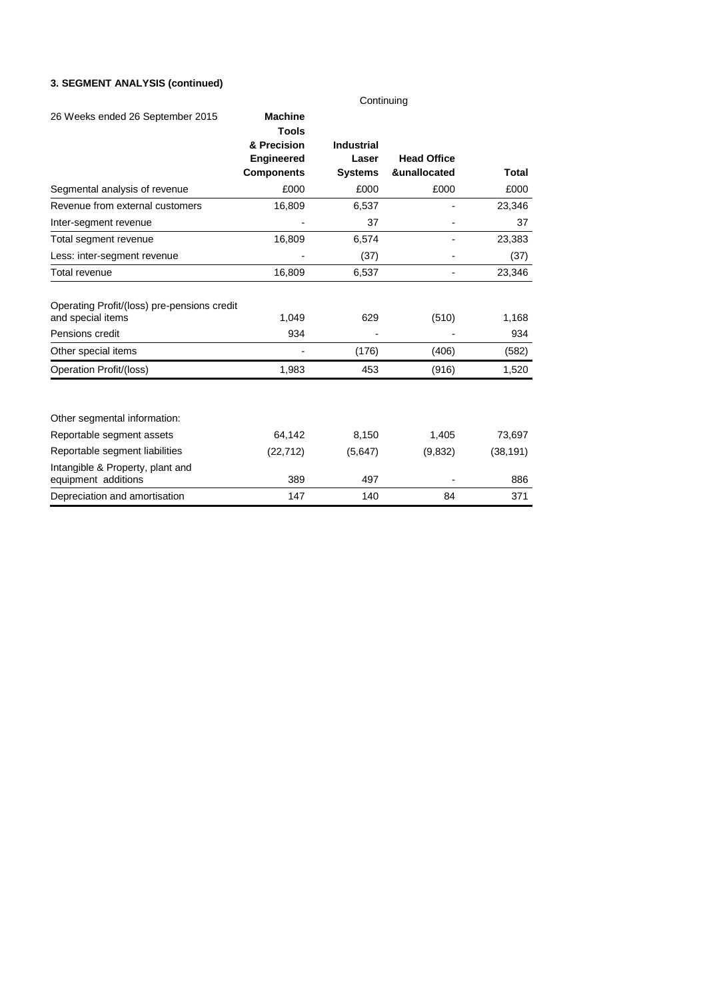### **3. SEGMENT ANALYSIS (continued)**

| Continuing                                                       |                                |                   |                          |           |  |
|------------------------------------------------------------------|--------------------------------|-------------------|--------------------------|-----------|--|
| 26 Weeks ended 26 September 2015                                 | <b>Machine</b><br><b>Tools</b> |                   |                          |           |  |
|                                                                  | & Precision                    | <b>Industrial</b> |                          |           |  |
|                                                                  | <b>Engineered</b>              | Laser             | <b>Head Office</b>       |           |  |
|                                                                  | <b>Components</b>              | <b>Systems</b>    | &unallocated             | Total     |  |
| Segmental analysis of revenue                                    | £000                           | £000              | £000                     | £000      |  |
| Revenue from external customers                                  | 16,809                         | 6,537             | $\overline{a}$           | 23,346    |  |
| Inter-segment revenue                                            |                                | 37                |                          | 37        |  |
| Total segment revenue                                            | 16,809                         | 6,574             | $\overline{\phantom{0}}$ | 23,383    |  |
| Less: inter-segment revenue                                      |                                | (37)              |                          | (37)      |  |
| Total revenue                                                    | 16,809                         | 6,537             | ٠                        | 23,346    |  |
| Operating Profit/(loss) pre-pensions credit<br>and special items | 1,049                          | 629               | (510)                    | 1,168     |  |
| Pensions credit                                                  | 934                            |                   |                          | 934       |  |
| Other special items                                              |                                | (176)             | (406)                    | (582)     |  |
| <b>Operation Profit/(loss)</b>                                   | 1,983                          | 453               | (916)                    | 1,520     |  |
| Other segmental information:                                     |                                |                   |                          |           |  |
| Reportable segment assets                                        | 64,142                         | 8,150             | 1,405                    | 73,697    |  |
| Reportable segment liabilities                                   | (22, 712)                      | (5,647)           | (9,832)                  | (38, 191) |  |
| Intangible & Property, plant and<br>equipment additions          | 389                            | 497               |                          | 886       |  |
| Depreciation and amortisation                                    | 147                            | 140               | 84                       | 371       |  |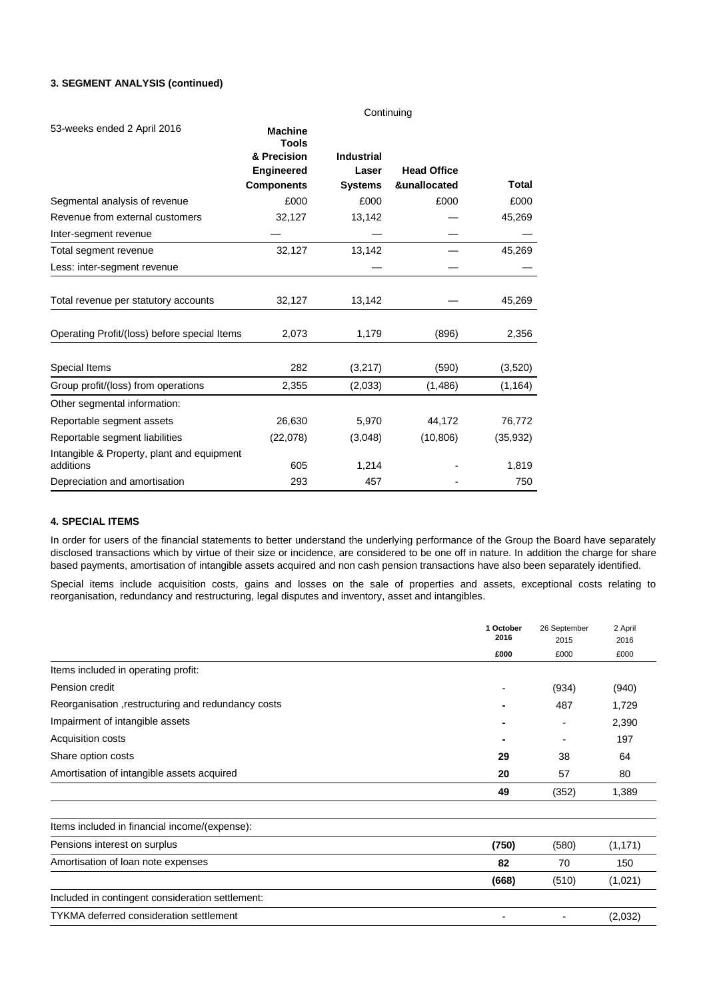### **3. SEGMENT ANALYSIS (continued)**

|                                                         | Continuing                     |                   |                    |           |
|---------------------------------------------------------|--------------------------------|-------------------|--------------------|-----------|
| 53-weeks ended 2 April 2016                             | <b>Machine</b><br><b>Tools</b> |                   |                    |           |
|                                                         | & Precision                    | <b>Industrial</b> |                    |           |
|                                                         | <b>Engineered</b>              | Laser             | <b>Head Office</b> |           |
|                                                         | <b>Components</b>              | <b>Systems</b>    | &unallocated       | Total     |
| Segmental analysis of revenue                           | £000                           | £000              | £000               | £000      |
| Revenue from external customers                         | 32,127                         | 13,142            |                    | 45,269    |
| Inter-segment revenue                                   |                                |                   |                    |           |
| Total segment revenue                                   | 32,127                         | 13,142            |                    | 45,269    |
| Less: inter-segment revenue                             |                                |                   |                    |           |
| Total revenue per statutory accounts                    | 32,127                         | 13,142            |                    | 45,269    |
| Operating Profit/(loss) before special Items            | 2,073                          | 1,179             | (896)              | 2,356     |
| Special Items                                           | 282                            | (3,217)           | (590)              | (3,520)   |
| Group profit/(loss) from operations                     | 2,355                          | (2,033)           | (1,486)            | (1, 164)  |
| Other segmental information:                            |                                |                   |                    |           |
| Reportable segment assets                               | 26,630                         | 5,970             | 44,172             | 76,772    |
| Reportable segment liabilities                          | (22,078)                       | (3,048)           | (10, 806)          | (35, 932) |
| Intangible & Property, plant and equipment<br>additions | 605                            | 1,214             |                    | 1,819     |
| Depreciation and amortisation                           | 293                            | 457               |                    | 750       |

### **4. SPECIAL ITEMS**

In order for users of the financial statements to better understand the underlying performance of the Group the Board have separately disclosed transactions which by virtue of their size or incidence, are considered to be one off in nature. In addition the charge for share based payments, amortisation of intangible assets acquired and non cash pension transactions have also been separately identified.

Special items include acquisition costs, gains and losses on the sale of properties and assets, exceptional costs relating to reorganisation, redundancy and restructuring, legal disputes and inventory, asset and intangibles.

|                                                     | 1 October<br>2016 | 26 September<br>2015 | 2 April<br>2016 |
|-----------------------------------------------------|-------------------|----------------------|-----------------|
|                                                     | £000              | £000                 | £000            |
| Items included in operating profit:                 |                   |                      |                 |
| Pension credit                                      |                   | (934)                | (940)           |
| Reorganisation , restructuring and redundancy costs |                   | 487                  | 1,729           |
| Impairment of intangible assets                     |                   |                      | 2,390           |
| Acquisition costs                                   |                   |                      | 197             |
| Share option costs                                  | 29                | 38                   | 64              |
| Amortisation of intangible assets acquired          | 20                | 57                   | 80              |
|                                                     | 49                | (352)                | 1,389           |
| Items included in financial income/(expense):       |                   |                      |                 |
| Pensions interest on surplus                        | (750)             | (580)                | (1, 171)        |
| Amortisation of loan note expenses                  | 82                | 70                   | 150             |
|                                                     | (668)             | (510)                | (1,021)         |
| Included in contingent consideration settlement:    |                   |                      |                 |
| <b>TYKMA</b> deferred consideration settlement      |                   |                      | (2,032)         |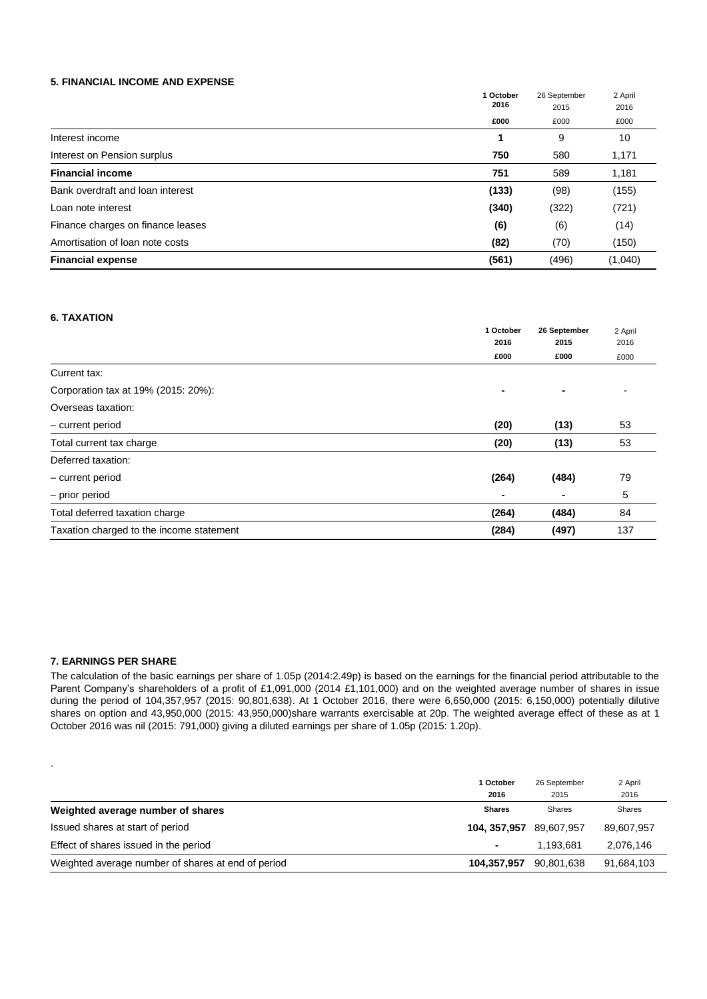#### **5. FINANCIAL INCOME AND EXPENSE**

|                                   | 1 October<br>2016 | 26 September<br>2015 | 2 April |
|-----------------------------------|-------------------|----------------------|---------|
|                                   |                   |                      | 2016    |
|                                   | £000              | £000                 | £000    |
| Interest income                   |                   | 9                    | 10      |
| Interest on Pension surplus       | 750               | 580                  | 1,171   |
| <b>Financial income</b>           | 751               | 589                  | 1,181   |
| Bank overdraft and loan interest  | (133)             | (98)                 | (155)   |
| Loan note interest                | (340)             | (322)                | (721)   |
| Finance charges on finance leases | (6)               | (6)                  | (14)    |
| Amortisation of loan note costs   | (82)              | (70)                 | (150)   |
| <b>Financial expense</b>          | (561)             | (496)                | (1,040) |

### **6. TAXATION**

|                                          | 1 October | 26 September | 2 April |
|------------------------------------------|-----------|--------------|---------|
|                                          | 2016      | 2015         | 2016    |
|                                          | £000      | £000         | £000    |
| Current tax:                             |           |              |         |
| Corporation tax at 19% (2015: 20%):      | ٠         |              |         |
| Overseas taxation:                       |           |              |         |
| - current period                         | (20)      | (13)         | 53      |
| Total current tax charge                 | (20)      | (13)         | 53      |
| Deferred taxation:                       |           |              |         |
| - current period                         | (264)     | (484)        | 79      |
| - prior period                           |           |              | 5       |
| Total deferred taxation charge           | (264)     | (484)        | 84      |
| Taxation charged to the income statement | (284)     | (497)        | 137     |

#### **7. EARNINGS PER SHARE**

.

The calculation of the basic earnings per share of 1.05p (2014:2.49p) is based on the earnings for the financial period attributable to the Parent Company's shareholders of a profit of £1,091,000 (2014 £1,101,000) and on the weighted average number of shares in issue during the period of 104,357,957 (2015: 90,801,638). At 1 October 2016, there were 6,650,000 (2015: 6,150,000) potentially dilutive shares on option and 43,950,000 (2015: 43,950,000)share warrants exercisable at 20p. The weighted average effect of these as at 1 October 2016 was nil (2015: 791,000) giving a diluted earnings per share of 1.05p (2015: 1.20p).

|                                                    | 1 October<br>2016          | 26 September<br>2015 | 2 April<br>2016 |
|----------------------------------------------------|----------------------------|----------------------|-----------------|
| Weighted average number of shares                  | <b>Shares</b>              | <b>Shares</b>        | Shares          |
| Issued shares at start of period                   | 104, 357, 957 89, 607, 957 |                      | 89,607,957      |
| Effect of shares issued in the period              |                            | 1.193.681            | 2,076,146       |
| Weighted average number of shares at end of period | 104,357,957                | 90,801,638           | 91,684,103      |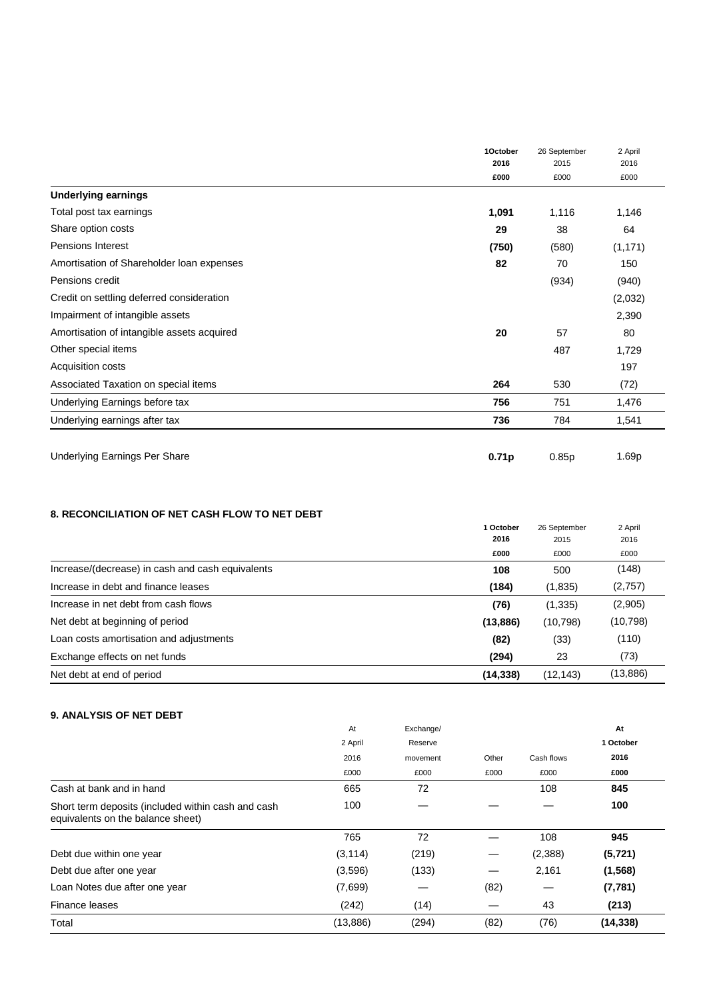|                                            | 1October | 26 September<br>2015 | 2 April  |
|--------------------------------------------|----------|----------------------|----------|
|                                            | 2016     |                      | 2016     |
|                                            | £000     | £000                 | £000     |
| <b>Underlying earnings</b>                 |          |                      |          |
| Total post tax earnings                    | 1,091    | 1,116                | 1,146    |
| Share option costs                         | 29       | 38                   | 64       |
| Pensions Interest                          | (750)    | (580)                | (1, 171) |
| Amortisation of Shareholder Ioan expenses  | 82       | 70                   | 150      |
| Pensions credit                            |          | (934)                | (940)    |
| Credit on settling deferred consideration  |          |                      | (2,032)  |
| Impairment of intangible assets            |          |                      | 2,390    |
| Amortisation of intangible assets acquired | 20       | 57                   | 80       |
| Other special items                        |          | 487                  | 1,729    |
| Acquisition costs                          |          |                      | 197      |
| Associated Taxation on special items       | 264      | 530                  | (72)     |
| Underlying Earnings before tax             | 756      | 751                  | 1,476    |
| Underlying earnings after tax              | 736      | 784                  | 1,541    |
| Underlying Earnings Per Share              | 0.71p    | 0.85p                | 1.69p    |

## **8. RECONCILIATION OF NET CASH FLOW TO NET DEBT**

|                                                  | 1 October | 26 September | 2 April   |
|--------------------------------------------------|-----------|--------------|-----------|
|                                                  | 2016      | 2015         | 2016      |
|                                                  | £000      | £000         | £000      |
| Increase/(decrease) in cash and cash equivalents | 108       | 500          | (148)     |
| Increase in debt and finance leases              | (184)     | (1,835)      | (2,757)   |
| Increase in net debt from cash flows             | (76)      | (1, 335)     | (2,905)   |
| Net debt at beginning of period                  | (13, 886) | (10, 798)    | (10, 798) |
| Loan costs amortisation and adjustments          | (82)      | (33)         | (110)     |
| Exchange effects on net funds                    | (294)     | 23           | (73)      |
| Net debt at end of period                        | (14, 338) | (12, 143)    | (13,886)  |

## **9. ANALYSIS OF NET DEBT**

|                                                                                         | At       | Exchange/ |       |            | At        |
|-----------------------------------------------------------------------------------------|----------|-----------|-------|------------|-----------|
|                                                                                         | 2 April  | Reserve   |       |            | 1 October |
|                                                                                         | 2016     | movement  | Other | Cash flows | 2016      |
|                                                                                         | £000     | £000      | £000  | £000       | £000      |
| Cash at bank and in hand                                                                | 665      | 72        |       | 108        | 845       |
| Short term deposits (included within cash and cash<br>equivalents on the balance sheet) | 100      |           |       |            | 100       |
|                                                                                         | 765      | 72        |       | 108        | 945       |
| Debt due within one year                                                                | (3, 114) | (219)     |       | (2,388)    | (5, 721)  |
| Debt due after one year                                                                 | (3,596)  | (133)     |       | 2,161      | (1,568)   |
| Loan Notes due after one year                                                           | (7,699)  |           | (82)  |            | (7, 781)  |
| Finance leases                                                                          | (242)    | (14)      |       | 43         | (213)     |
| Total                                                                                   | (13,886) | (294)     | (82)  | (76)       | (14, 338) |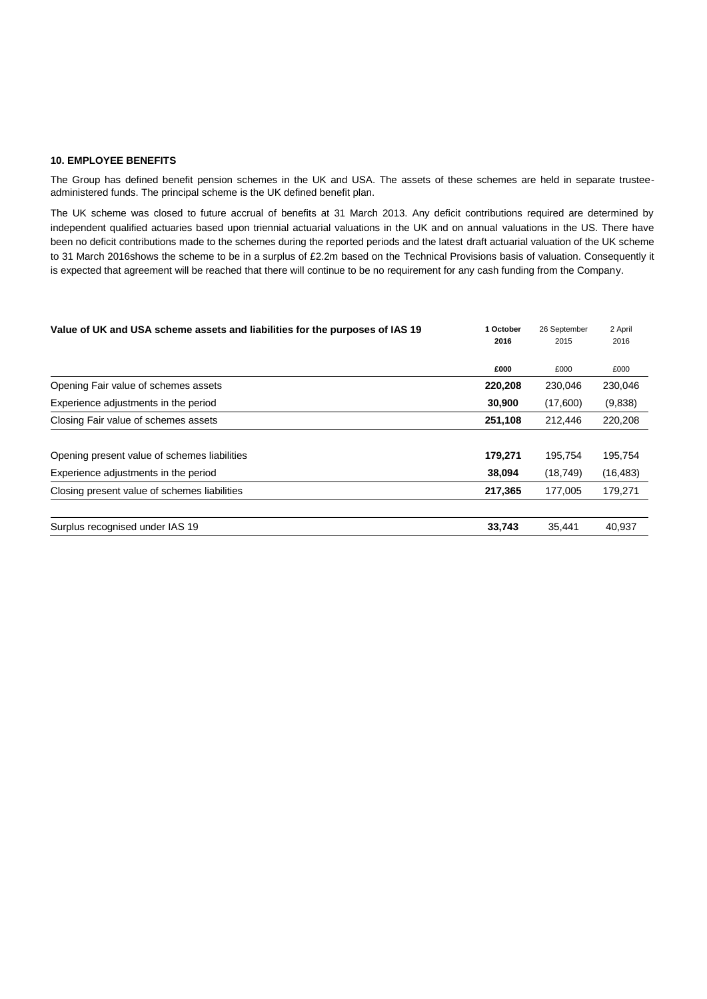#### **10. EMPLOYEE BENEFITS**

The Group has defined benefit pension schemes in the UK and USA. The assets of these schemes are held in separate trusteeadministered funds. The principal scheme is the UK defined benefit plan.

The UK scheme was closed to future accrual of benefits at 31 March 2013. Any deficit contributions required are determined by independent qualified actuaries based upon triennial actuarial valuations in the UK and on annual valuations in the US. There have been no deficit contributions made to the schemes during the reported periods and the latest draft actuarial valuation of the UK scheme to 31 March 2016shows the scheme to be in a surplus of £2.2m based on the Technical Provisions basis of valuation. Consequently it is expected that agreement will be reached that there will continue to be no requirement for any cash funding from the Company.

| Value of UK and USA scheme assets and liabilities for the purposes of IAS 19 | 1 October<br>2016 | 26 September<br>2015 | 2 April<br>2016 |
|------------------------------------------------------------------------------|-------------------|----------------------|-----------------|
|                                                                              | £000              | £000                 | £000            |
| Opening Fair value of schemes assets                                         | 220,208           | 230,046              | 230,046         |
| Experience adjustments in the period                                         | 30,900            | (17,600)             | (9,838)         |
| Closing Fair value of schemes assets                                         | 251,108           | 212,446              | 220,208         |
| Opening present value of schemes liabilities                                 | 179,271           | 195,754              | 195,754         |
| Experience adjustments in the period                                         | 38,094            | (18, 749)            | (16, 483)       |
| Closing present value of schemes liabilities                                 | 217,365           | 177,005              | 179,271         |
| Surplus recognised under IAS 19                                              | 33,743            | 35.441               | 40.937          |